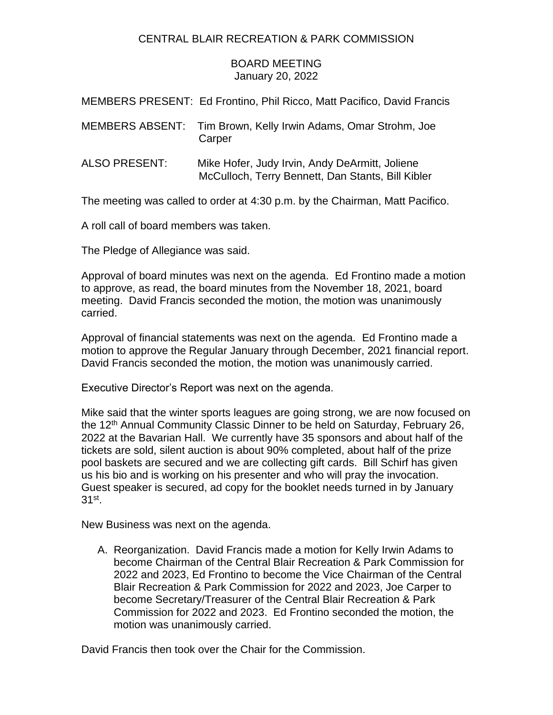## CENTRAL BLAIR RECREATION & PARK COMMISSION

## BOARD MEETING January 20, 2022

MEMBERS PRESENT: Ed Frontino, Phil Ricco, Matt Pacifico, David Francis

- MEMBERS ABSENT: Tim Brown, Kelly Irwin Adams, Omar Strohm, Joe **Carper**
- ALSO PRESENT: Mike Hofer, Judy Irvin, Andy DeArmitt, Joliene McCulloch, Terry Bennett, Dan Stants, Bill Kibler

The meeting was called to order at 4:30 p.m. by the Chairman, Matt Pacifico.

A roll call of board members was taken.

The Pledge of Allegiance was said.

Approval of board minutes was next on the agenda. Ed Frontino made a motion to approve, as read, the board minutes from the November 18, 2021, board meeting. David Francis seconded the motion, the motion was unanimously carried.

Approval of financial statements was next on the agenda. Ed Frontino made a motion to approve the Regular January through December, 2021 financial report. David Francis seconded the motion, the motion was unanimously carried.

Executive Director's Report was next on the agenda.

Mike said that the winter sports leagues are going strong, we are now focused on the 12<sup>th</sup> Annual Community Classic Dinner to be held on Saturday, February 26, 2022 at the Bavarian Hall. We currently have 35 sponsors and about half of the tickets are sold, silent auction is about 90% completed, about half of the prize pool baskets are secured and we are collecting gift cards. Bill Schirf has given us his bio and is working on his presenter and who will pray the invocation. Guest speaker is secured, ad copy for the booklet needs turned in by January 31st .

New Business was next on the agenda.

A. Reorganization. David Francis made a motion for Kelly Irwin Adams to become Chairman of the Central Blair Recreation & Park Commission for 2022 and 2023, Ed Frontino to become the Vice Chairman of the Central Blair Recreation & Park Commission for 2022 and 2023, Joe Carper to become Secretary/Treasurer of the Central Blair Recreation & Park Commission for 2022 and 2023. Ed Frontino seconded the motion, the motion was unanimously carried.

David Francis then took over the Chair for the Commission.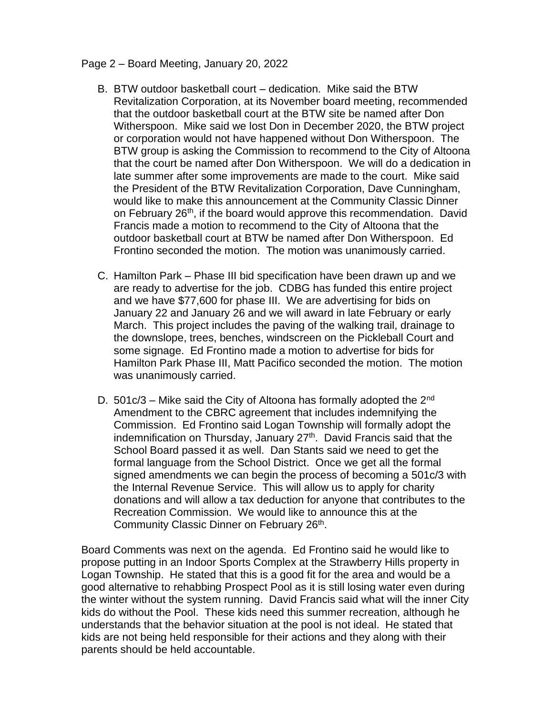## Page 2 – Board Meeting, January 20, 2022

- B. BTW outdoor basketball court dedication. Mike said the BTW Revitalization Corporation, at its November board meeting, recommended that the outdoor basketball court at the BTW site be named after Don Witherspoon. Mike said we lost Don in December 2020, the BTW project or corporation would not have happened without Don Witherspoon. The BTW group is asking the Commission to recommend to the City of Altoona that the court be named after Don Witherspoon. We will do a dedication in late summer after some improvements are made to the court. Mike said the President of the BTW Revitalization Corporation, Dave Cunningham, would like to make this announcement at the Community Classic Dinner on February 26<sup>th</sup>, if the board would approve this recommendation. David Francis made a motion to recommend to the City of Altoona that the outdoor basketball court at BTW be named after Don Witherspoon. Ed Frontino seconded the motion. The motion was unanimously carried.
- C. Hamilton Park Phase III bid specification have been drawn up and we are ready to advertise for the job. CDBG has funded this entire project and we have \$77,600 for phase III. We are advertising for bids on January 22 and January 26 and we will award in late February or early March. This project includes the paving of the walking trail, drainage to the downslope, trees, benches, windscreen on the Pickleball Court and some signage. Ed Frontino made a motion to advertise for bids for Hamilton Park Phase III, Matt Pacifico seconded the motion. The motion was unanimously carried.
- D. 501 $c/3$  Mike said the City of Altoona has formally adopted the 2<sup>nd</sup> Amendment to the CBRC agreement that includes indemnifying the Commission. Ed Frontino said Logan Township will formally adopt the indemnification on Thursday, January  $27<sup>th</sup>$ . David Francis said that the School Board passed it as well. Dan Stants said we need to get the formal language from the School District. Once we get all the formal signed amendments we can begin the process of becoming a 501c/3 with the Internal Revenue Service. This will allow us to apply for charity donations and will allow a tax deduction for anyone that contributes to the Recreation Commission. We would like to announce this at the Community Classic Dinner on February 26<sup>th</sup>.

Board Comments was next on the agenda. Ed Frontino said he would like to propose putting in an Indoor Sports Complex at the Strawberry Hills property in Logan Township. He stated that this is a good fit for the area and would be a good alternative to rehabbing Prospect Pool as it is still losing water even during the winter without the system running. David Francis said what will the inner City kids do without the Pool. These kids need this summer recreation, although he understands that the behavior situation at the pool is not ideal. He stated that kids are not being held responsible for their actions and they along with their parents should be held accountable.